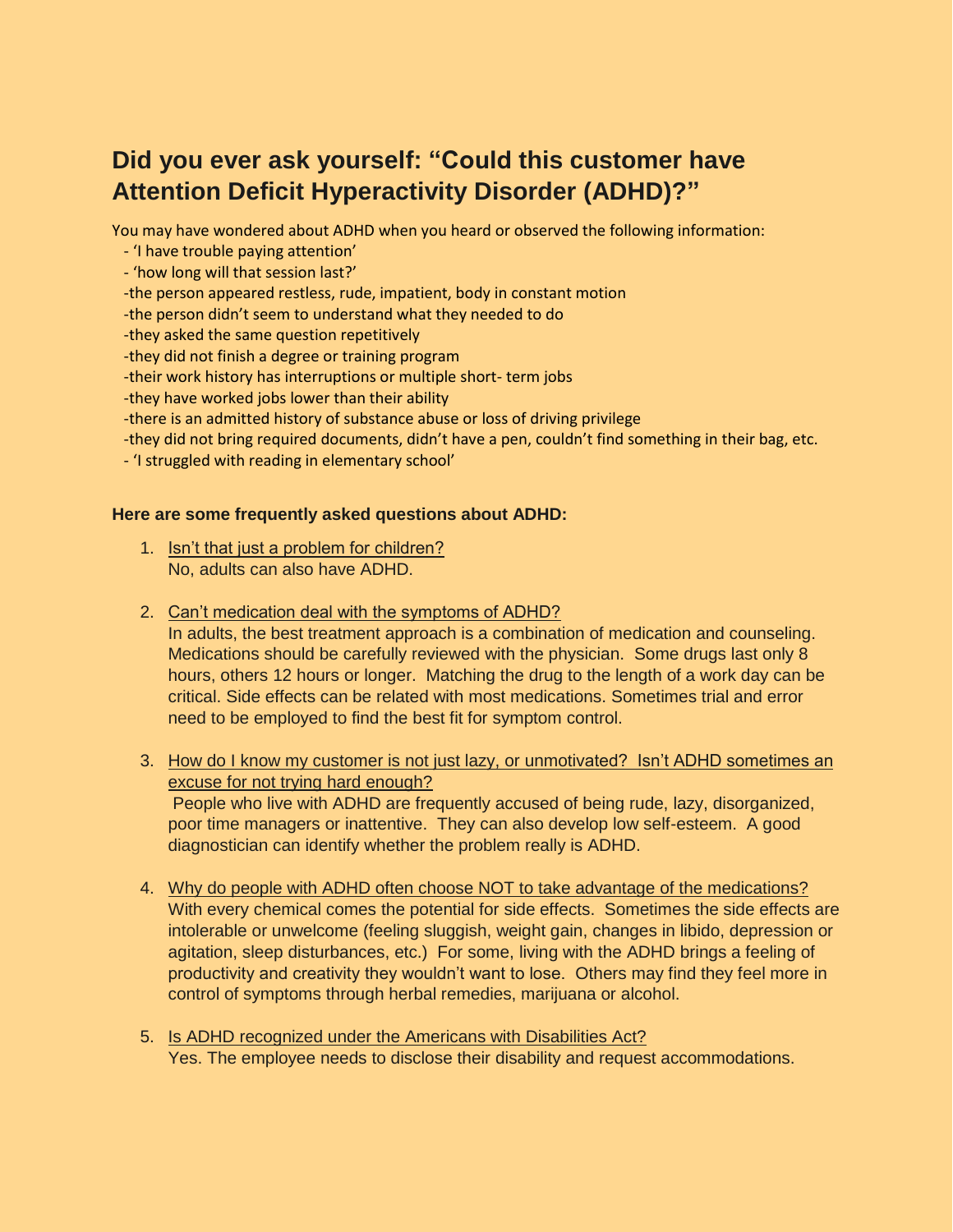## **Did you ever ask yourself: "Could this customer have Attention Deficit Hyperactivity Disorder (ADHD)?"**

You may have wondered about ADHD when you heard or observed the following information:

- 'I have trouble paying attention'
- 'how long will that session last?'
- -the person appeared restless, rude, impatient, body in constant motion
- -the person didn't seem to understand what they needed to do
- -they asked the same question repetitively
- -they did not finish a degree or training program
- -their work history has interruptions or multiple short- term jobs
- -they have worked jobs lower than their ability
- -there is an admitted history of substance abuse or loss of driving privilege
- -they did not bring required documents, didn't have a pen, couldn't find something in their bag, etc.
- 'I struggled with reading in elementary school'

#### **Here are some frequently asked questions about ADHD:**

- 1. Isn't that just a problem for children? No, adults can also have ADHD.
- 2. Can't medication deal with the symptoms of ADHD? In adults, the best treatment approach is a combination of medication and counseling. Medications should be carefully reviewed with the physician. Some drugs last only 8 hours, others 12 hours or longer. Matching the drug to the length of a work day can be critical. Side effects can be related with most medications. Sometimes trial and error need to be employed to find the best fit for symptom control.
- 3. How do I know my customer is not just lazy, or unmotivated? Isn't ADHD sometimes an excuse for not trying hard enough? People who live with ADHD are frequently accused of being rude, lazy, disorganized,

poor time managers or inattentive. They can also develop low self-esteem. A good diagnostician can identify whether the problem really is ADHD.

- 4. Why do people with ADHD often choose NOT to take advantage of the medications? With every chemical comes the potential for side effects. Sometimes the side effects are intolerable or unwelcome (feeling sluggish, weight gain, changes in libido, depression or agitation, sleep disturbances, etc.) For some, living with the ADHD brings a feeling of productivity and creativity they wouldn't want to lose. Others may find they feel more in control of symptoms through herbal remedies, marijuana or alcohol.
- 5. Is ADHD recognized under the Americans with Disabilities Act? Yes. The employee needs to disclose their disability and request accommodations.